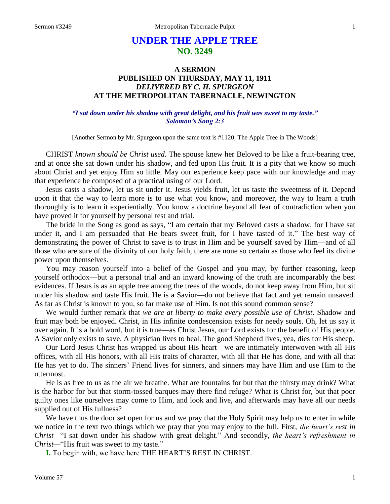# **UNDER THE APPLE TREE NO. 3249**

## **A SERMON PUBLISHED ON THURSDAY, MAY 11, 1911** *DELIVERED BY C. H. SPURGEON* **AT THE METROPOLITAN TABERNACLE, NEWINGTON**

### *"I sat down under his shadow with great delight, and his fruit was sweet to my taste." Solomon's Song 2:3*

[Another Sermon by Mr. Spurgeon upon the same text is #1120, The Apple Tree in The Woods]

CHRIST *known should be Christ used.* The spouse knew her Beloved to be like a fruit-bearing tree, and at once she sat down under his shadow, and fed upon His fruit. It is a pity that we know so much about Christ and yet enjoy Him so little. May our experience keep pace with our knowledge and may that experience be composed of a practical using of our Lord.

Jesus casts a shadow, let us sit under it. Jesus yields fruit, let us taste the sweetness of it. Depend upon it that the way to learn more is to use what you know, and moreover, the way to learn a truth thoroughly is to learn it experientially. You know a doctrine beyond all fear of contradiction when you have proved it for yourself by personal test and trial.

The bride in the Song as good as says, "I am certain that my Beloved casts a shadow, for I have sat under it, and I am persuaded that He bears sweet fruit, for I have tasted of it." The best way of demonstrating the power of Christ to save is to trust in Him and be yourself saved by Him—and of all those who are sure of the divinity of our holy faith, there are none so certain as those who feel its divine power upon themselves.

You may reason yourself into a belief of the Gospel and you may, by further reasoning, keep yourself orthodox—but a personal trial and an inward knowing of the truth are incomparably the best evidences. If Jesus is as an apple tree among the trees of the woods, do not keep away from Him, but sit under his shadow and taste His fruit. He is a Savior—do not believe that fact and yet remain unsaved. As far as Christ is known to you, so far make use of Him. Is not this sound common sense?

We would further remark that *we are at liberty to make every possible use of Christ*. Shadow and fruit may both be enjoyed. Christ, in His infinite condescension exists for needy souls. Oh, let us say it over again. It is a bold word, but it is true—as Christ Jesus, our Lord exists for the benefit of His people. A Savior only exists to save. A physician lives to heal. The good Shepherd lives, yea, dies for His sheep.

Our Lord Jesus Christ has wrapped us about His heart—we are intimately interwoven with all His offices, with all His honors, with all His traits of character, with all that He has done, and with all that He has yet to do. The sinners' Friend lives for sinners, and sinners may have Him and use Him to the uttermost.

He is as free to us as the air we breathe. What are fountains for but that the thirsty may drink? What is the harbor for but that storm-tossed barques may there find refuge? What is Christ for, but that poor guilty ones like ourselves may come to Him, and look and live, and afterwards may have all our needs supplied out of His fullness?

We have thus the door set open for us and we pray that the Holy Spirit may help us to enter in while we notice in the text two things which we pray that you may enjoy to the full. First, *the heart's rest in Christ—*"I sat down under his shadow with great delight." And secondly, *the heart's refreshment in Christ—*"His fruit was sweet to my taste."

**I.** To begin with, we have here THE HEART'S REST IN CHRIST.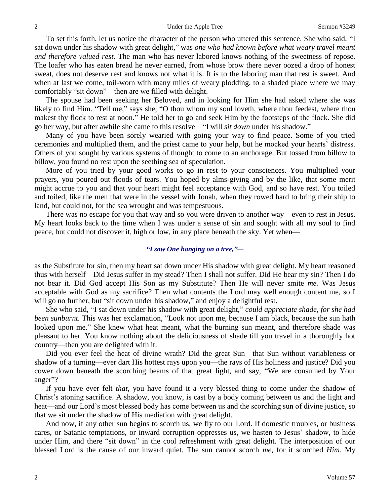To set this forth, let us notice the character of the person who uttered this sentence. She who said, "I sat down under his shadow with great delight," was *one who had known before what weary travel meant and therefore valued rest.* The man who has never labored knows nothing of the sweetness of repose. The loafer who has eaten bread he never earned, from whose brow there never oozed a drop of honest sweat, does not deserve rest and knows not what it is. It is to the laboring man that rest is sweet. And when at last we come, toil-worn with many miles of weary plodding, to a shaded place where we may comfortably "sit down"—then are we filled with delight.

The spouse had been seeking her Beloved, and in looking for Him she had asked where she was likely to find Him. "Tell me," says she, "O thou whom my soul loveth, where thou feedest, where thou makest thy flock to rest at noon." He told her to go and seek Him by the footsteps of the flock. She did go her way, but after awhile she came to this resolve—"I will *sit down* under his shadow."

Many of you have been sorely wearied with going your way to find peace. Some of you tried ceremonies and multiplied them, and the priest came to your help, but he mocked your hearts' distress. Others of you sought by various systems of thought to come to an anchorage. But tossed from billow to billow, you found no rest upon the seething sea of speculation.

More of you tried by your good works to go in rest to your consciences. You multiplied your prayers, you poured out floods of tears. You hoped by alms-giving and by the like, that some merit might accrue to you and that your heart might feel acceptance with God, and so have rest. You toiled and toiled, like the men that were in the vessel with Jonah, when they rowed hard to bring their ship to land, but could not, for the sea wrought and was tempestuous.

There was no escape for you that way and so you were driven to another way—even to rest in Jesus. My heart looks back to the time when I was under a sense of sin and sought with all my soul to find peace, but could not discover it, high or low, in any place beneath the sky. Yet when—

#### *"I saw One hanging on a tree,"—*

as the Substitute for sin, then my heart sat down under His shadow with great delight. My heart reasoned thus with herself—Did Jesus suffer in my stead? Then I shall not suffer. Did He bear my sin? Then I do not bear it. Did God accept His Son as my Substitute? Then He will never smite *me.* Was Jesus acceptable with God as my sacrifice? Then what contents the Lord may well enough content me, so I will go no further, but "sit down under his shadow," and enjoy a delightful rest.

She who said, "I sat down under his shadow with great delight," *could appreciate shade, for she had been sunburnt.* This was her exclamation, "Look not upon me, because I am black, because the sun hath looked upon me." She knew what heat meant, what the burning sun meant, and therefore shade was pleasant to her. You know nothing about the deliciousness of shade till you travel in a thoroughly hot country—then you are delighted with it.

Did you ever feel the heat of divine wrath? Did the great Sun—that Sun without variableness or shadow of a turning—ever dart His hottest rays upon you—the rays of His holiness and justice? Did you cower down beneath the scorching beams of that great light, and say, "We are consumed by Your anger"?

If you have ever felt *that*, you have found it a very blessed thing to come under the shadow of Christ's atoning sacrifice. A shadow, you know, is cast by a body coming between us and the light and heat—and our Lord's most blessed body has come between us and the scorching sun of divine justice, so that we sit under the shadow of His mediation with great delight.

And now, if any other sun begins to scorch us, we fly to our Lord. If domestic troubles, or business cares, or Satanic temptations, or inward corruption oppresses us, we hasten to Jesus' shadow, to hide under Him, and there "sit down" in the cool refreshment with great delight. The interposition of our blessed Lord is the cause of our inward quiet. The sun cannot scorch *me*, for it scorched *Him*. My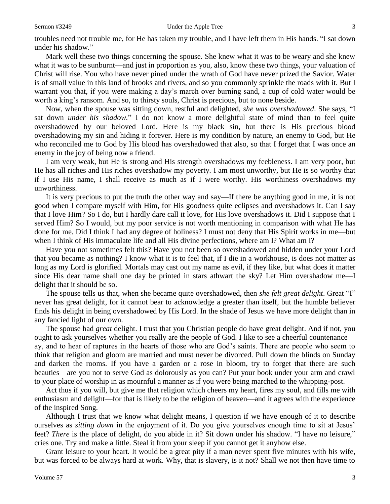troubles need not trouble me, for He has taken my trouble, and I have left them in His hands. "I sat down under his shadow."

Mark well these two things concerning the spouse. She knew what it was to be weary and she knew what it was to be sunburnt—and just in proportion as you, also, know these two things, your valuation of Christ will rise. You who have never pined under the wrath of God have never prized the Savior. Water is of small value in this land of brooks and rivers, and so you commonly sprinkle the roads with it. But I warrant you that, if you were making a day's march over burning sand, a cup of cold water would be worth a king's ransom. And so, to thirsty souls, Christ is precious, but to none beside.

Now, when the spouse was sitting down, restful and delighted, *she was overshadowed*. She says, "I sat down *under his shadow.*" I do not know a more delightful state of mind than to feel quite overshadowed by our beloved Lord. Here is my black sin, but there is His precious blood overshadowing my sin and hiding it forever. Here is my condition by nature, an enemy to God, but He who reconciled me to God by His blood has overshadowed that also, so that I forget that I was once an enemy in the joy of being now a friend.

I am very weak, but He is strong and His strength overshadows my feebleness. I am very poor, but He has all riches and His riches overshadow my poverty. I am most unworthy, but He is so worthy that if I use His name, I shall receive as much as if I were worthy. His worthiness overshadows my unworthiness.

It is very precious to put the truth the other way and say—If there be anything good in me, it is not good when I compare myself with Him, for His goodness quite eclipses and overshadows it. Can I say that I love Him? So I do, but I hardly dare call it love, for His love overshadows it. Did I suppose that I served Him? So I would, but my poor service is not worth mentioning in comparison with what He has done for me. Did I think I had any degree of holiness? I must not deny that His Spirit works in me—but when I think of His immaculate life and all His divine perfections, where am I? What am I?

Have you not sometimes felt this? Have you not been so overshadowed and hidden under your Lord that you became as nothing? I know what it is to feel that, if I die in a workhouse, is does not matter as long as my Lord is glorified. Mortals may cast out my name as evil, if they like, but what does it matter since His dear name shall one day be printed in stars athwart the sky? Let Him overshadow me—I delight that it should be so.

The spouse tells us that, when she became quite overshadowed, then *she felt great delight*. Great "I" never has great delight, for it cannot bear to acknowledge a greater than itself, but the humble believer finds his delight in being overshadowed by His Lord. In the shade of Jesus we have more delight than in any fancied light of our own.

The spouse had *great* delight. I trust that you Christian people do have great delight. And if not, you ought to ask yourselves whether you really are the people of God. I like to see a cheerful countenance ay, and to hear of raptures in the hearts of those who are God's saints. There are people who seem to think that religion and gloom are married and must never be divorced. Pull down the blinds on Sunday and darken the rooms. If you have a garden or a rose in bloom, try to forget that there are such beauties—are you not to serve God as dolorously as you can? Put your book under your arm and crawl to your place of worship in as mournful a manner as if you were being marched to the whipping-post.

Act thus if you will, but give me that religion which cheers my heart, fires my soul, and fills me with enthusiasm and delight—for that is likely to be the religion of heaven—and it agrees with the experience of the inspired Song.

Although I trust that we know what delight means, I question if we have enough of it to describe ourselves as *sitting down* in the enjoyment of it. Do you give yourselves enough time to sit at Jesus' feet? *There* is the place of delight, do you abide in it? Sit down under his shadow. "I have no leisure," cries one. Try and make a little. Steal it from your sleep if you cannot get it anyhow else.

Grant leisure to your heart. It would be a great pity if a man never spent five minutes with his wife, but was forced to be always hard at work. Why, that is slavery, is it not? Shall we not then have time to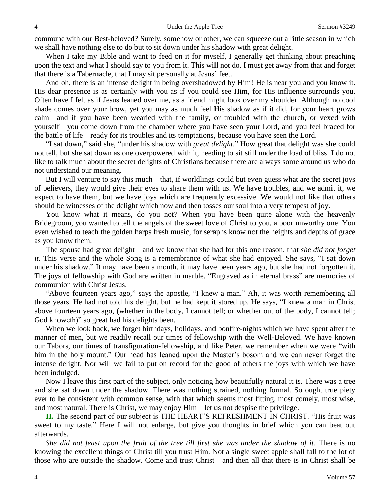commune with our Best-beloved? Surely, somehow or other, we can squeeze out a little season in which we shall have nothing else to do but to sit down under his shadow with great delight.

When I take my Bible and want to feed on it for myself, I generally get thinking about preaching upon the text and what I should say to you from it. This will not do. I must get away from that and forget that there is a Tabernacle, that I may sit personally at Jesus' feet.

And oh, there is an intense delight in being overshadowed by Him! He is near you and you know it. His dear presence is as certainly with you as if you could see Him, for His influence surrounds you. Often have I felt as if Jesus leaned over me, as a friend might look over my shoulder. Although no cool shade comes over your brow, yet you may as much feel His shadow as if it did, for your heart grows calm—and if you have been wearied with the family, or troubled with the church, or vexed with yourself—you come down from the chamber where you have seen your Lord, and you feel braced for the battle of life—ready for its troubles and its temptations, because you have seen the Lord.

"I sat down," said she, "under his shadow with *great delight*." How great that delight was she could not tell, but she sat down as one overpowered with it, needing to sit still under the load of bliss. I do not like to talk much about the secret delights of Christians because there are always some around us who do not understand our meaning.

But I will venture to say this much—that, if worldlings could but even guess what are the secret joys of believers, they would give their eyes to share them with us. We have troubles, and we admit it, we expect to have them, but we have joys which are frequently excessive. We would not like that others should be witnesses of the delight which now and then tosses our soul into a very tempest of joy.

You know what it means, do you not? When you have been quite alone with the heavenly Bridegroom, you wanted to tell the angels of the sweet love of Christ to you, a poor unworthy one. You even wished to teach the golden harps fresh music, for seraphs know not the heights and depths of grace as you know them.

The spouse had great delight—and we know that she had for this one reason, that *she did not forget it*. This verse and the whole Song is a remembrance of what she had enjoyed. She says, "I sat down under his shadow." It may have been a month, it may have been years ago, but she had not forgotten it. The joys of fellowship with God are written in marble. "Engraved as in eternal brass" are memories of communion with Christ Jesus.

"Above fourteen years ago," says the apostle, "I knew a man." Ah, it was worth remembering all those years. He had not told his delight, but he had kept it stored up. He says, "I knew a man in Christ above fourteen years ago, (whether in the body, I cannot tell; or whether out of the body, I cannot tell; God knoweth)" so great had his delights been.

When we look back, we forget birthdays, holidays, and bonfire-nights which we have spent after the manner of men, but we readily recall our times of fellowship with the Well-Beloved. We have known our Tabors, our times of transfiguration-fellowship, and like Peter, we remember when we were "with him in the holy mount." Our head has leaned upon the Master's bosom and we can never forget the intense delight. Nor will we fail to put on record for the good of others the joys with which we have been indulged.

Now I leave this first part of the subject, only noticing how beautifully natural it is. There was a tree and she sat down under the shadow. There was nothing strained, nothing formal. So ought true piety ever to be consistent with common sense, with that which seems most fitting, most comely, most wise, and most natural. There is Christ, we may enjoy Him—let us not despise the privilege.

**II.** The second part of our subject is THE HEART'S REFRESHMENT IN CHRIST. "His fruit was sweet to my taste." Here I will not enlarge, but give you thoughts in brief which you can beat out afterwards.

*She did not feast upon the fruit of the tree till first she was under the shadow of it*. There is no knowing the excellent things of Christ till you trust Him. Not a single sweet apple shall fall to the lot of those who are outside the shadow. Come and trust Christ—and then all that there is in Christ shall be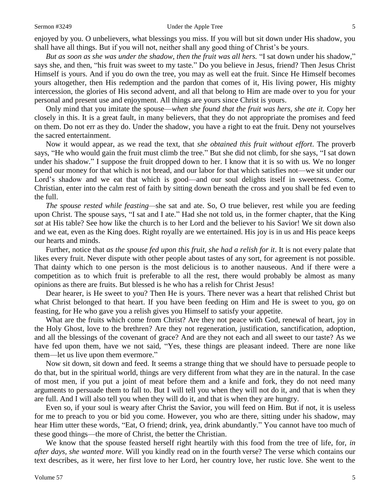enjoyed by you. O unbelievers, what blessings you miss. If you will but sit down under His shadow, you shall have all things. But if you will not, neither shall any good thing of Christ's be yours.

*But as soon as she was under the shadow, then the fruit was all hers.* "I sat down under his shadow," says she, and then, "his fruit was sweet to my taste." Do you believe in Jesus, friend? Then Jesus Christ Himself is yours. And if you do own the tree, you may as well eat the fruit. Since He Himself becomes yours altogether, then His redemption and the pardon that comes of it, His living power, His mighty intercession, the glories of His second advent, and all that belong to Him are made over to you for your personal and present use and enjoyment. All things are yours since Christ is yours.

Only mind that you imitate the spouse—*when she found that the fruit was hers, she ate it.* Copy her closely in this. It is a great fault, in many believers, that they do not appropriate the promises and feed on them. Do not err as they do. Under the shadow, you have a right to eat the fruit. Deny not yourselves the sacred entertainment.

Now it would appear, as we read the text, that *she obtained this fruit without effort*. The proverb says, "He who would gain the fruit must climb the tree." But she did not climb, for she says, "I sat down under his shadow." I suppose the fruit dropped down to her. I know that it is so with us. We no longer spend our money for that which is not bread, and our labor for that which satisfies not—we sit under our Lord's shadow and we eat that which is good—and our soul delights itself in sweetness. Come, Christian, enter into the calm rest of faith by sitting down beneath the cross and you shall be fed even to the full.

*The spouse rested while feasting—*she sat and ate. So, O true believer, rest while you are feeding upon Christ. The spouse says, "I sat and I ate." Had she not told us, in the former chapter, that the King *sat* at His table? See how like the church is to her Lord and the believer to his Savior! We sit down also and we eat, even as the King does. Right royally are we entertained. His joy is in us and His peace keeps our hearts and minds.

Further, notice that *as the spouse fed upon this fruit, she had a relish for it*. It is not every palate that likes every fruit. Never dispute with other people about tastes of any sort, for agreement is not possible. That dainty which to one person is the most delicious is to another nauseous. And if there were a competition as to which fruit is preferable to all the rest, there would probably be almost as many opinions as there are fruits. But blessed is he who has a relish for Christ Jesus!

Dear hearer, is He sweet to you? Then He is yours. There never was a heart that relished Christ but what Christ belonged to that heart. If you have been feeding on Him and He is sweet to you, go on feasting, for He who gave you a relish gives you Himself to satisfy your appetite.

What are the fruits which come from Christ? Are they not peace with God, renewal of heart, joy in the Holy Ghost, love to the brethren? Are they not regeneration, justification, sanctification, adoption, and all the blessings of the covenant of grace? And are they not each and all sweet to our taste? As we have fed upon them, have we not said, "Yes, these things are pleasant indeed. There are none like them—let us live upon them evermore."

Now sit down, sit down and feed. It seems a strange thing that we should have to persuade people to do that, but in the spiritual world, things are very different from what they are in the natural. In the case of most men, if you put a joint of meat before them and a knife and fork, they do not need many arguments to persuade them to fall to. But I will tell you when they will not do it, and that is when they are full. And I will also tell you when they will do it, and that is when they are hungry.

Even so, if your soul is weary after Christ the Savior, you will feed on Him. But if not, it is useless for me to preach to you or bid you come. However, you who are there, sitting under his shadow, may hear Him utter these words, "Eat, O friend; drink, yea, drink abundantly." You cannot have too much of these good things—the more of Christ, the better the Christian.

We know that the spouse feasted herself right heartily with this food from the tree of life, for, *in after days, she wanted more*. Will you kindly read on in the fourth verse? The verse which contains our text describes, as it were, her first love to her Lord, her country love, her rustic love. She went to the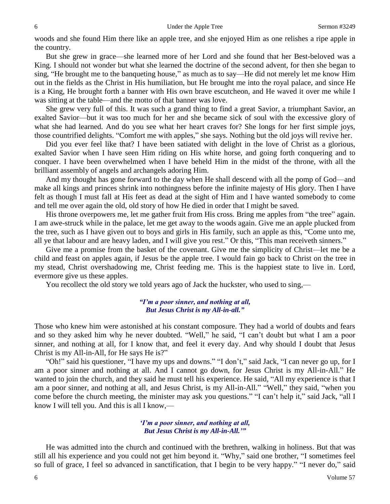woods and she found Him there like an apple tree, and she enjoyed Him as one relishes a ripe apple in the country.

But she grew in grace—she learned more of her Lord and she found that her Best-beloved was a King. I should not wonder but what she learned the doctrine of the second advent, for then she began to sing, "He brought me to the banqueting house," as much as to say—He did not merely let me know Him out in the fields as the Christ in His humiliation, but He brought me into the royal palace, and since He is a King, He brought forth a banner with His own brave escutcheon, and He waved it over me while I was sitting at the table—and the motto of that banner was love.

She grew very full of this. It was such a grand thing to find a great Savior, a triumphant Savior, an exalted Savior—but it was too much for her and she became sick of soul with the excessive glory of what she had learned. And do you see what her heart craves for? She longs for her first simple joys, those countrified delights. "Comfort me with apples," she says. Nothing but the old joys will revive her.

Did you ever feel like that? I have been satiated with delight in the love of Christ as a glorious, exalted Savior when I have seen Him riding on His white horse, and going forth conquering and to conquer. I have been overwhelmed when I have beheld Him in the midst of the throne, with all the brilliant assembly of angels and archangels adoring Him.

And my thought has gone forward to the day when He shall descend with all the pomp of God—and make all kings and princes shrink into nothingness before the infinite majesty of His glory. Then I have felt as though I must fall at His feet as dead at the sight of Him and I have wanted somebody to come and tell me over again the old, old story of how He died in order that I might be saved.

His throne overpowers me, let me gather fruit from His cross. Bring me apples from "the tree" again. I am awe-struck while in the palace, let me get away to the woods again. Give me an apple plucked from the tree, such as I have given out to boys and girls in His family, such an apple as this, "Come unto me, all ye that labour and are heavy laden, and I will give you rest." Or this, "This man receiveth sinners."

Give me a promise from the basket of the covenant. Give me the simplicity of Christ—let me be a child and feast on apples again, if Jesus be the apple tree. I would fain go back to Christ on the tree in my stead, Christ overshadowing me, Christ feeding me. This is the happiest state to live in. Lord, evermore give us these apples.

You recollect the old story we told years ago of Jack the huckster, who used to sing,—

#### *"I'm a poor sinner, and nothing at all, But Jesus Christ is my All-in-all."*

Those who knew him were astonished at his constant composure. They had a world of doubts and fears and so they asked him why he never doubted. "Well," he said, "I can't doubt but what I am a poor sinner, and nothing at all, for I know that, and feel it every day. And why should I doubt that Jesus Christ is my All-in-All, for He says He is?"

"Oh!" said his questioner, "I have my ups and downs." "I don't," said Jack, "I can never go up, for I am a poor sinner and nothing at all. And I cannot go down, for Jesus Christ is my All-in-All." He wanted to join the church, and they said he must tell his experience. He said, "All my experience is that I am a poor sinner, and nothing at all, and Jesus Christ, is my All-in-All." "Well," they said, "when you come before the church meeting, the minister may ask you questions." "I can't help it," said Jack, "all I know I will tell you. And this is all I know,—

#### *'I'm a poor sinner, and nothing at all, But Jesus Christ is my All-in-All.'"*

He was admitted into the church and continued with the brethren, walking in holiness. But that was still all his experience and you could not get him beyond it. "Why," said one brother, "I sometimes feel so full of grace, I feel so advanced in sanctification, that I begin to be very happy." "I never do," said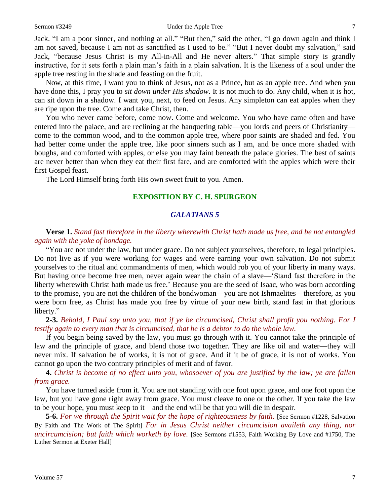Jack. "I am a poor sinner, and nothing at all." "But then," said the other, "I go down again and think I am not saved, because I am not as sanctified as I used to be." "But I never doubt my salvation," said Jack, "because Jesus Christ is my All-in-All and He never alters." That simple story is grandly instructive, for it sets forth a plain man's faith in a plain salvation. It is the likeness of a soul under the apple tree resting in the shade and feasting on the fruit.

Now, at this time, I want you to think of Jesus, not as a Prince, but as an apple tree. And when you have done this, I pray you to *sit down under His shadow*. It is not much to do. Any child, when it is hot, can sit down in a shadow. I want you, next, to feed on Jesus. Any simpleton can eat apples when they are ripe upon the tree. Come and take Christ, then.

You who never came before, come now. Come and welcome. You who have came often and have entered into the palace, and are reclining at the banqueting table—you lords and peers of Christianity come to the common wood, and to the common apple tree, where poor saints are shaded and fed. You had better come under the apple tree, like poor sinners such as I am, and be once more shaded with boughs, and comforted with apples, or else you may faint beneath the palace glories. The best of saints are never better than when they eat their first fare, and are comforted with the apples which were their first Gospel feast.

The Lord Himself bring forth His own sweet fruit to you. Amen.

### **EXPOSITION BY C. H. SPURGEON**

#### *GALATIANS 5*

**Verse 1.** *Stand fast therefore in the liberty wherewith Christ hath made us free, and be not entangled again with the yoke of bondage.* 

"You are not under the law, but under grace. Do not subject yourselves, therefore, to legal principles. Do not live as if you were working for wages and were earning your own salvation. Do not submit yourselves to the ritual and commandments of men, which would rob you of your liberty in many ways. But having once become free men, never again wear the chain of a slave—'Stand fast therefore in the liberty wherewith Christ hath made us free.' Because you are the seed of Isaac, who was born according to the promise, you are not the children of the bondwoman—you are not Ishmaelites—therefore, as you were born free, as Christ has made you free by virtue of your new birth, stand fast in that glorious liberty."

**2-3.** *Behold, I Paul say unto you, that if ye be circumcised, Christ shall profit you nothing. For I testify again to every man that is circumcised, that he is a debtor to do the whole law.*

If you begin being saved by the law, you must go through with it. You cannot take the principle of law and the principle of grace, and blend those two together. They are like oil and water—they will never mix. If salvation be of works, it is not of grace. And if it be of grace, it is not of works. You cannot go upon the two contrary principles of merit and of favor.

**4.** *Christ is become of no effect unto you, whosoever of you are justified by the law; ye are fallen from grace.* 

You have turned aside from it. You are not standing with one foot upon grace, and one foot upon the law, but you have gone right away from grace. You must cleave to one or the other. If you take the law to be your hope, you must keep to it—and the end will be that you will die in despair.

**5-6.** *For we through the Spirit wait for the hope of righteousness by faith.* [See Sermon #1228, Salvation By Faith and The Work of The Spirit] *For in Jesus Christ neither circumcision availeth any thing, nor uncircumcision; but faith which worketh by love.* [See Sermons #1553, Faith Working By Love and #1750, The Luther Sermon at Exeter Hall]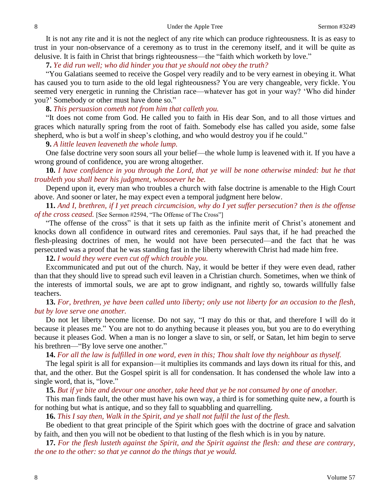It is not any rite and it is not the neglect of any rite which can produce righteousness. It is as easy to trust in your non-observance of a ceremony as to trust in the ceremony itself, and it will be quite as delusive. It is faith in Christ that brings righteousness—the "faith which worketh by love."

**7.** *Ye did run well; who did hinder you that ye should not obey the truth?* 

"You Galatians seemed to receive the Gospel very readily and to be very earnest in obeying it. What has caused you to turn aside to the old legal righteousness? You are very changeable, very fickle. You seemed very energetic in running the Christian race—whatever has got in your way? 'Who did hinder you?' Somebody or other must have done so."

**8.** *This persuasion cometh not from him that calleth you.*

"It does not come from God. He called you to faith in His dear Son, and to all those virtues and graces which naturally spring from the root of faith. Somebody else has called you aside, some false shepherd, who is but a wolf in sheep's clothing, and who would destroy you if he could."

**9.** *A little leaven leaveneth the whole lump.* 

One false doctrine very soon sours all your belief—the whole lump is leavened with it. If you have a wrong ground of confidence, you are wrong altogether.

**10.** *I have confidence in you through the Lord, that ye will be none otherwise minded: but he that troubleth you shall bear his judgment, whosoever he be.* 

Depend upon it, every man who troubles a church with false doctrine is amenable to the High Court above. And sooner or later, he may expect even a temporal judgment here below.

**11.** *And I, brethren, if I yet preach circumcision, why do I yet suffer persecution? then is the offense of the cross ceased.* [See Sermon #2594, "The Offense of The Cross"]

"The offense of the cross" is that it sets up faith as the infinite merit of Christ's atonement and knocks down all confidence in outward rites and ceremonies. Paul says that, if he had preached the flesh-pleasing doctrines of men, he would not have been persecuted—and the fact that he was persecuted was a proof that he was standing fast in the liberty wherewith Christ had made him free.

**12.** *I would they were even cut off which trouble you.* 

Excommunicated and put out of the church. Nay, it would be better if they were even dead, rather than that they should live to spread such evil leaven in a Christian church. Sometimes, when we think of the interests of immortal souls, we are apt to grow indignant, and rightly so, towards willfully false teachers.

**13.** *For, brethren, ye have been called unto liberty; only use not liberty for an occasion to the flesh, but by love serve one another.* 

Do not let liberty become license. Do not say, "I may do this or that, and therefore I will do it because it pleases me." You are not to do anything because it pleases you, but you are to do everything because it pleases God. When a man is no longer a slave to sin, or self, or Satan, let him begin to serve his brethren—"By love serve one another."

**14.** *For all the law is fulfilled in one word, even in this; Thou shalt love thy neighbour as thyself.* 

The legal spirit is all for expansion—it multiplies its commands and lays down its ritual for this, and that, and the other. But the Gospel spirit is all for condensation. It has condensed the whole law into a single word, that is, "love."

**15.** *But if ye bite and devour one another, take heed that ye be not consumed by one of another.* 

This man finds fault, the other must have his own way, a third is for something quite new, a fourth is for nothing but what is antique, and so they fall to squabbling and quarrelling.

**16.** *This I say then, Walk in the Spirit, and ye shall not fulfil the lust of the flesh.* 

Be obedient to that great principle of the Spirit which goes with the doctrine of grace and salvation by faith, and then you will not be obedient to that lusting of the flesh which is in you by nature.

**17.** *For the flesh lusteth against the Spirit, and the Spirit against the flesh: and these are contrary, the one to the other: so that ye cannot do the things that ye would.*